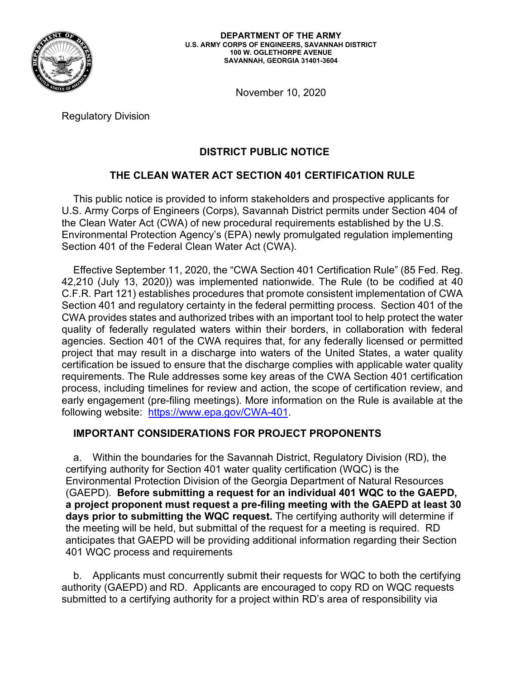

November 10, 2020

Regulatory Division

# **DISTRICT PUBLIC NOTICE**

## **THE CLEAN WATER ACT SECTION 401 CERTIFICATION RULE**

 the Clean Water Act (CWA) of new procedural requirements established by the U.S. Section 401 of the Federal Clean Water Act (CWA). This public notice is provided to inform stakeholders and prospective applicants for U.S. Army Corps of Engineers (Corps), Savannah District permits under Section 404 of Environmental Protection Agency's (EPA) newly promulgated regulation implementing

 42,210 (July 13, 2020)) was implemented nationwide. The Rule (to be codified at 40 Section 401 and regulatory certainty in the federal permitting process. Section 401 of the certification be issued to ensure that the discharge complies with applicable water quality following website: <u><https://www.epa.gov/CWA-401></u>. Effective September 11, 2020, the "CWA Section 401 Certification Rule" (85 Fed. Reg. C.F.R. Part 121) establishes procedures that promote consistent implementation of CWA CWA provides states and authorized tribes with an important tool to help protect the water quality of federally regulated waters within their borders, in collaboration with federal agencies. Section 401 of the CWA requires that, for any federally licensed or permitted project that may result in a discharge into waters of the United States, a water quality requirements. The Rule addresses some key areas of the CWA Section 401 certification process, including timelines for review and action, the scope of certification review, and early engagement (pre-filing meetings). More information on the Rule is available at the

### **IMPORTANT CONSIDERATIONS FOR PROJECT PROPONENTS**

 (GAEPD). **Before submitting a request for an individual 401 WQC to the GAEPD,**  the meeting will be held, but submittal of the request for a meeting is required. RD a. Within the boundaries for the Savannah District, Regulatory Division (RD), the certifying authority for Section 401 water quality certification (WQC) is the Environmental Protection Division of the Georgia Department of Natural Resources **a project proponent must request a pre-filing meeting with the GAEPD at least 30 days prior to submitting the WQC request.** The certifying authority will determine if anticipates that GAEPD will be providing additional information regarding their Section 401 WQC process and requirements

 authority (GAEPD) and RD. Applicants are encouraged to copy RD on WQC requests b. Applicants must concurrently submit their requests for WQC to both the certifying submitted to a certifying authority for a project within RD's area of responsibility via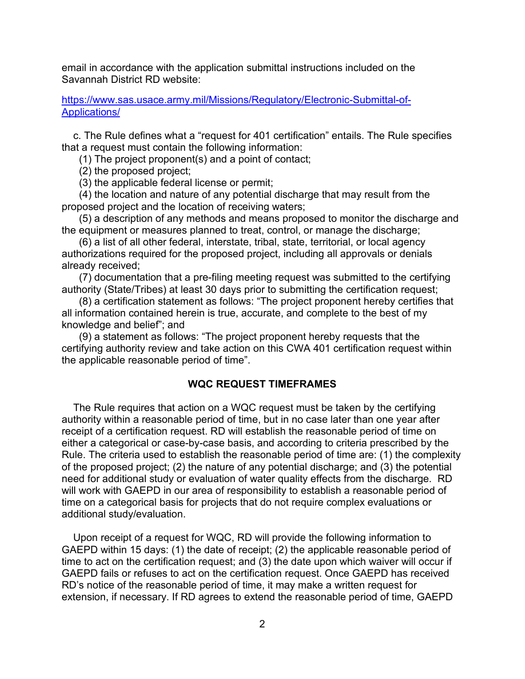email in accordance with the application submittal instructions included on the Savannah District RD website:

[https://www.sas.usace.army.mil/Missions/Regulatory/Electronic-Submittal-of-](https://www.sas.usace.army.mil/Missions/Regulatory/Electronic-Submittal-of)Applications/

c. The Rule defines what a "request for 401 certification" entails. The Rule specifies that a request must contain the following information:

(1) The project proponent(s) and a point of contact;

(2) the proposed project;

(3) the applicable federal license or permit;

(4) the location and nature of any potential discharge that may result from the proposed project and the location of receiving waters;

(5) a description of any methods and means proposed to monitor the discharge and the equipment or measures planned to treat, control, or manage the discharge;

(6) a list of all other federal, interstate, tribal, state, territorial, or local agency authorizations required for the proposed project, including all approvals or denials already received;

(7) documentation that a pre-filing meeting request was submitted to the certifying authority (State/Tribes) at least 30 days prior to submitting the certification request;

 all information contained herein is true, accurate, and complete to the best of my (8) a certification statement as follows: "The project proponent hereby certifies that knowledge and belief"; and

(9) a statement as follows: "The project proponent hereby requests that the certifying authority review and take action on this CWA 401 certification request within the applicable reasonable period of time".

### **WQC REQUEST TIMEFRAMES**

 either a categorical or case-by-case basis, and according to criteria prescribed by the need for additional study or evaluation of water quality effects from the discharge. RD The Rule requires that action on a WQC request must be taken by the certifying authority within a reasonable period of time, but in no case later than one year after receipt of a certification request. RD will establish the reasonable period of time on Rule. The criteria used to establish the reasonable period of time are: (1) the complexity of the proposed project; (2) the nature of any potential discharge; and (3) the potential will work with GAEPD in our area of responsibility to establish a reasonable period of time on a categorical basis for projects that do not require complex evaluations or additional study/evaluation.

 extension, if necessary. If RD agrees to extend the reasonable period of time, GAEPD Upon receipt of a request for WQC, RD will provide the following information to GAEPD within 15 days: (1) the date of receipt; (2) the applicable reasonable period of time to act on the certification request; and (3) the date upon which waiver will occur if GAEPD fails or refuses to act on the certification request. Once GAEPD has received RD's notice of the reasonable period of time, it may make a written request for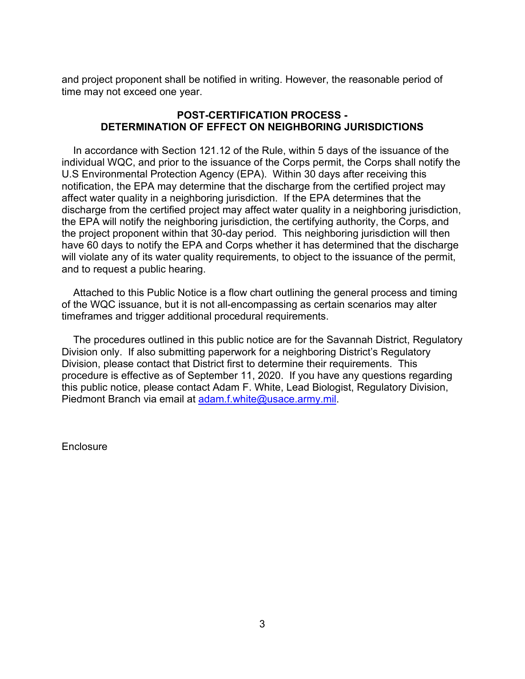and project proponent shall be notified in writing. However, the reasonable period of time may not exceed one year.

### **POST-CERTIFICATION PROCESS - DETERMINATION OF EFFECT ON NEIGHBORING JURISDICTIONS**

 individual WQC, and prior to the issuance of the Corps permit, the Corps shall notify the affect water quality in a neighboring jurisdiction. If the EPA determines that the the EPA will notify the neighboring jurisdiction, the certifying authority, the Corps, and the project proponent within that 30-day period. This neighboring jurisdiction will then have 60 days to notify the EPA and Corps whether it has determined that the discharge In accordance with Section 121.12 of the Rule, within 5 days of the issuance of the U.S Environmental Protection Agency (EPA). Within 30 days after receiving this notification, the EPA may determine that the discharge from the certified project may discharge from the certified project may affect water quality in a neighboring jurisdiction, will violate any of its water quality requirements, to object to the issuance of the permit, and to request a public hearing.

Attached to this Public Notice is a flow chart outlining the general process and timing of the WQC issuance, but it is not all-encompassing as certain scenarios may alter timeframes and trigger additional procedural requirements.

The procedures outlined in this public notice are for the Savannah District, Regulatory Division only. If also submitting paperwork for a neighboring District's Regulatory Division, please contact that District first to determine their requirements. This procedure is effective as of September 11, 2020. If you have any questions regarding this public notice, please contact Adam F. White, Lead Biologist, Regulatory Division, Piedmont Branch via email at [adam.f.white@usace.army.mil.](mailto:adam.f.white@usace.army.mil)

**Enclosure**